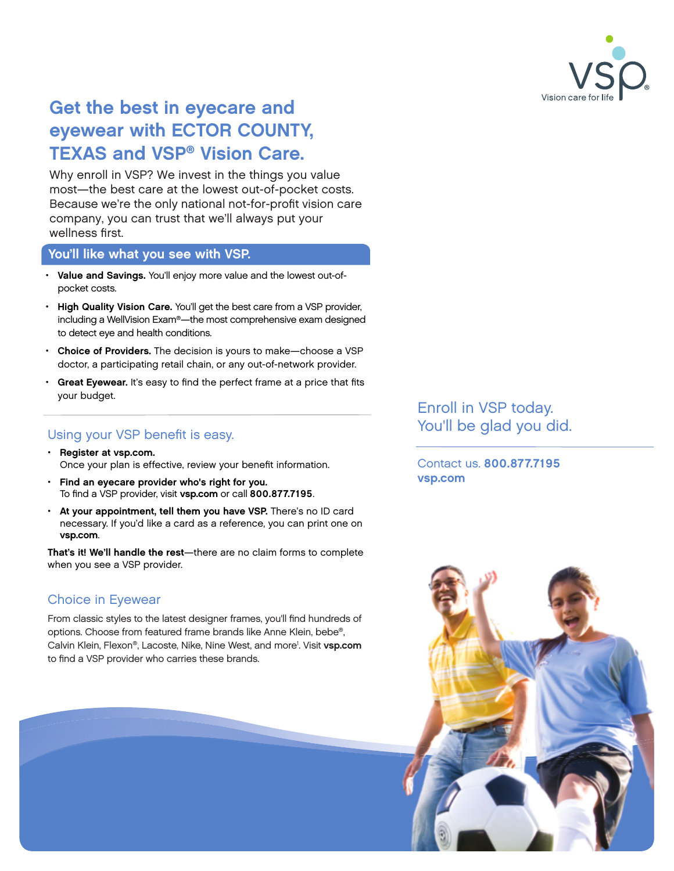

# Get the best in eyecare and eyewear with ECTOR COUNTY, TEXAS and VSP® Vision Care.

Why enroll in VSP? We invest in the things you value most—the best care at the lowest out-of-pocket costs. Because we're the only national not-for-profit vision care company, you can trust that we'll always put your wellness first.

#### You'll like what you see with VSP.

- Value and Savings. You'll enjoy more value and the lowest out-ofpocket costs.
- High Quality Vision Care. You'll get the best care from a VSP provider, including a WellVision Exam®—the most comprehensive exam designed to detect eye and health conditions.
- Choice of Providers. The decision is yours to make-choose a VSP doctor, a participating retail chain, or any out-of-network provider.
- Great Eyewear. It's easy to find the perfect frame at a price that fits your budget.

### Using your VSP benefit is easy.

- Register at [vsp.com.](http://www.vsp.com) Once your plan is effective, review your benefit information.
- Find an eyecare provider who's right for you. To find a VSP provider, visit [vsp.com](http://www.vsp.com) or call 800.877.7195.
- At your appointment, tell them you have VSP. There's no ID card necessary. If you'd like a card as a reference, you can print one on [vsp.com](http://www.vsp.com).

That's it! We'll handle the rest—there are no claim forms to complete when you see a VSP provider.

## Choice in Eyewear

From classic styles to the latest designer frames, you'll find hundreds of options. Choose from featured frame brands like Anne Klein, bebe®, Calvin Klein, Flexon®, Lacoste, Nike, Nine West, and more<sup>1</sup>. Visit [vsp.com](http://www.vsp.com) to find a VSP provider who carries these brands.

Enroll in VSP today. You'll be glad you did.

Contact us. 800.877.7195 [vsp.com](http://www.vsp.com)